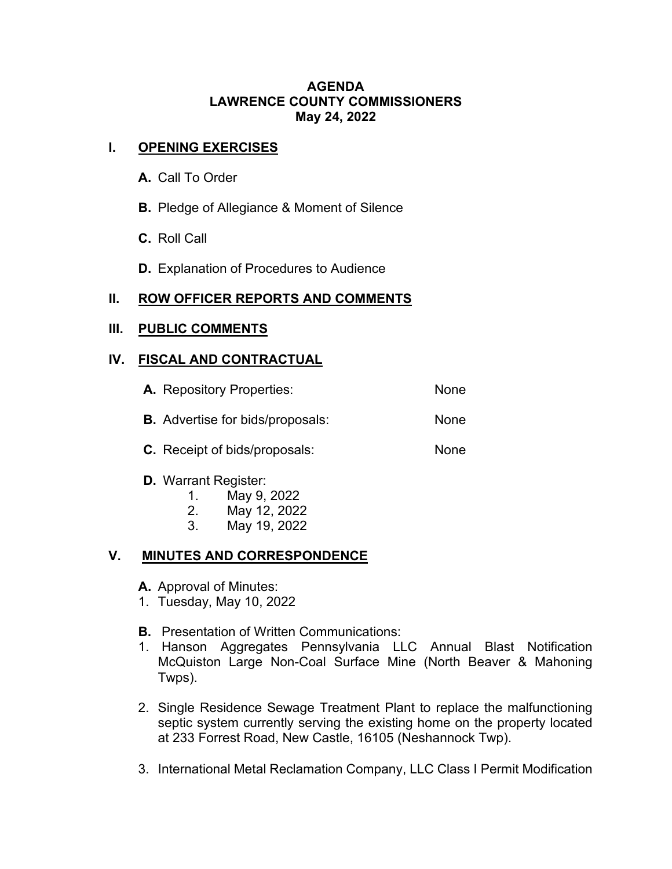#### **AGENDA LAWRENCE COUNTY COMMISSIONERS May 24, 2022**

#### **I. OPENING EXERCISES**

- **A.** Call To Order
- **B.** Pledge of Allegiance & Moment of Silence
- **C.** Roll Call
- **D.** Explanation of Procedures to Audience

### **II. ROW OFFICER REPORTS AND COMMENTS**

#### **III. PUBLIC COMMENTS**

#### **IV. FISCAL AND CONTRACTUAL**

| <b>A.</b> Repository Properties:        | None |
|-----------------------------------------|------|
| <b>B.</b> Advertise for bids/proposals: | None |
| <b>C.</b> Receipt of bids/proposals:    | None |

- **D.** Warrant Register:
	-
	- 1. May 9, 2022 2. May 12, 2022
	- 3. May 19, 2022

### **V. MINUTES AND CORRESPONDENCE**

- **A.** Approval of Minutes:
- 1. Tuesday, May 10, 2022
- **B.** Presentation of Written Communications:
- 1. Hanson Aggregates Pennsylvania LLC Annual Blast Notification McQuiston Large Non-Coal Surface Mine (North Beaver & Mahoning Twps).
- 2. Single Residence Sewage Treatment Plant to replace the malfunctioning septic system currently serving the existing home on the property located at 233 Forrest Road, New Castle, 16105 (Neshannock Twp).
- 3. International Metal Reclamation Company, LLC Class I Permit Modification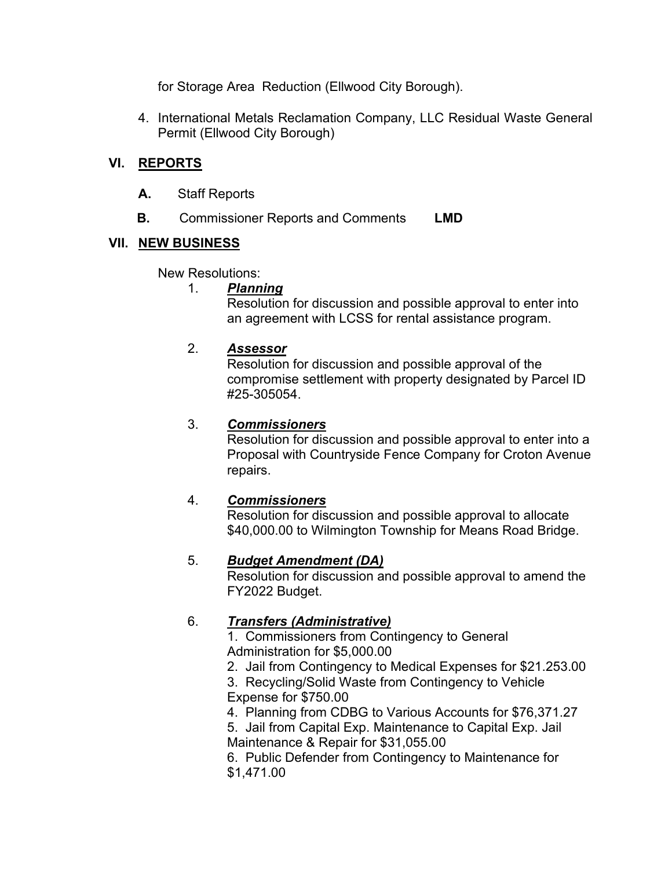for Storage Area Reduction (Ellwood City Borough).

4. International Metals Reclamation Company, LLC Residual Waste General Permit (Ellwood City Borough)

## **VI. REPORTS**

- **A.** Staff Reports
- **B.** Commissioner Reports and Comments **LMD**

### **VII. NEW BUSINESS**

New Resolutions:

#### 1. *Planning*

Resolution for discussion and possible approval to enter into an agreement with LCSS for rental assistance program.

### 2. *Assessor*

Resolution for discussion and possible approval of the compromise settlement with property designated by Parcel ID #25-305054.

### 3. *Commissioners*

Resolution for discussion and possible approval to enter into a Proposal with Countryside Fence Company for Croton Avenue repairs.

### 4. *Commissioners*

Resolution for discussion and possible approval to allocate \$40,000.00 to Wilmington Township for Means Road Bridge.

## 5. *Budget Amendment (DA)*

Resolution for discussion and possible approval to amend the FY2022 Budget.

## 6. *Transfers (Administrative)*

1. Commissioners from Contingency to General Administration for \$5,000.00

2. Jail from Contingency to Medical Expenses for \$21.253.00

3. Recycling/Solid Waste from Contingency to Vehicle Expense for \$750.00

4. Planning from CDBG to Various Accounts for \$76,371.27

5. Jail from Capital Exp. Maintenance to Capital Exp. Jail Maintenance & Repair for \$31,055.00

6. Public Defender from Contingency to Maintenance for \$1,471.00